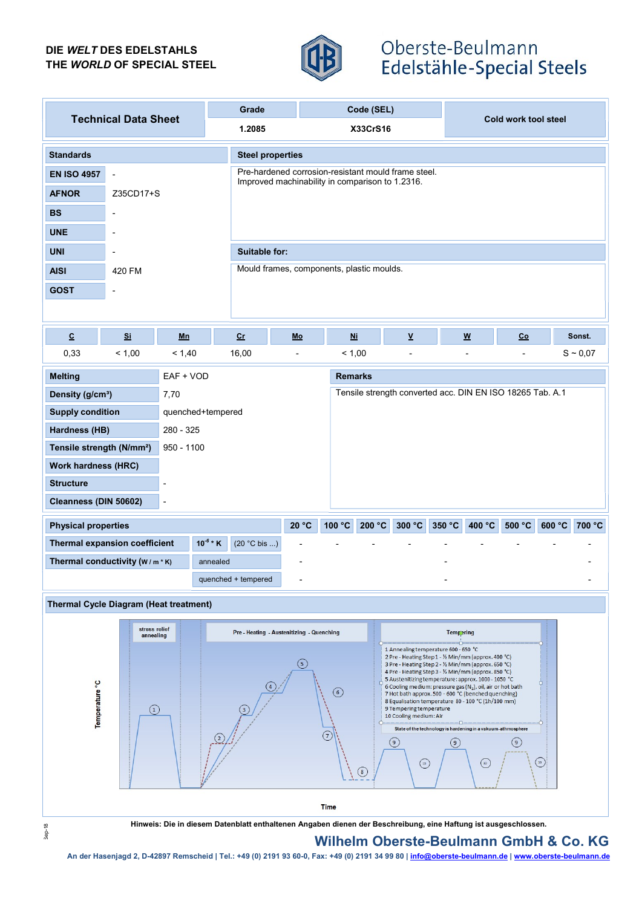## DIE WELT DES EDELSTAHLS THE WORLD OF SPECIAL STEEL



# Oberste-Beulmann Edelstähle-Special Steels

| <b>Technical Data Sheet</b><br>1.2085<br><b>X33CrS16</b>                                                                                                                                                                                                                                                                                                                                                                                                                                                                                                                                                                                                                                                                                                                            |                                                 |  |  |  |  |  |  |  |  |
|-------------------------------------------------------------------------------------------------------------------------------------------------------------------------------------------------------------------------------------------------------------------------------------------------------------------------------------------------------------------------------------------------------------------------------------------------------------------------------------------------------------------------------------------------------------------------------------------------------------------------------------------------------------------------------------------------------------------------------------------------------------------------------------|-------------------------------------------------|--|--|--|--|--|--|--|--|
|                                                                                                                                                                                                                                                                                                                                                                                                                                                                                                                                                                                                                                                                                                                                                                                     | Cold work tool steel                            |  |  |  |  |  |  |  |  |
| <b>Standards</b><br><b>Steel properties</b>                                                                                                                                                                                                                                                                                                                                                                                                                                                                                                                                                                                                                                                                                                                                         |                                                 |  |  |  |  |  |  |  |  |
| Pre-hardened corrosion-resistant mould frame steel.<br><b>EN ISO 4957</b><br>$\blacksquare$                                                                                                                                                                                                                                                                                                                                                                                                                                                                                                                                                                                                                                                                                         | Improved machinability in comparison to 1.2316. |  |  |  |  |  |  |  |  |
| <b>AFNOR</b><br>Z35CD17+S                                                                                                                                                                                                                                                                                                                                                                                                                                                                                                                                                                                                                                                                                                                                                           |                                                 |  |  |  |  |  |  |  |  |
| <b>BS</b>                                                                                                                                                                                                                                                                                                                                                                                                                                                                                                                                                                                                                                                                                                                                                                           |                                                 |  |  |  |  |  |  |  |  |
| <b>UNE</b>                                                                                                                                                                                                                                                                                                                                                                                                                                                                                                                                                                                                                                                                                                                                                                          |                                                 |  |  |  |  |  |  |  |  |
| <b>UNI</b><br>Suitable for:                                                                                                                                                                                                                                                                                                                                                                                                                                                                                                                                                                                                                                                                                                                                                         |                                                 |  |  |  |  |  |  |  |  |
| Mould frames, components, plastic moulds.<br><b>AISI</b><br>420 FM                                                                                                                                                                                                                                                                                                                                                                                                                                                                                                                                                                                                                                                                                                                  |                                                 |  |  |  |  |  |  |  |  |
| <b>GOST</b>                                                                                                                                                                                                                                                                                                                                                                                                                                                                                                                                                                                                                                                                                                                                                                         |                                                 |  |  |  |  |  |  |  |  |
|                                                                                                                                                                                                                                                                                                                                                                                                                                                                                                                                                                                                                                                                                                                                                                                     |                                                 |  |  |  |  |  |  |  |  |
| $\underline{\mathbf{v}}$<br>$\underline{\textbf{C}}$<br>Si<br>$c_{r}$<br>$Ni$<br>$\underline{\mathsf{w}}$<br>Mn<br>Mo                                                                                                                                                                                                                                                                                                                                                                                                                                                                                                                                                                                                                                                               | Co<br>Sonst.                                    |  |  |  |  |  |  |  |  |
| 0,33<br>< 1,00<br>16,00<br>< 1,00<br>< 1,40<br>$\blacksquare$<br>$\blacksquare$<br>$\overline{a}$                                                                                                                                                                                                                                                                                                                                                                                                                                                                                                                                                                                                                                                                                   | $S \sim 0.07$                                   |  |  |  |  |  |  |  |  |
| <b>Remarks</b><br><b>Melting</b><br>EAF + VOD                                                                                                                                                                                                                                                                                                                                                                                                                                                                                                                                                                                                                                                                                                                                       |                                                 |  |  |  |  |  |  |  |  |
| Tensile strength converted acc. DIN EN ISO 18265 Tab. A.1<br>Density (g/cm <sup>3</sup> )<br>7,70                                                                                                                                                                                                                                                                                                                                                                                                                                                                                                                                                                                                                                                                                   |                                                 |  |  |  |  |  |  |  |  |
| <b>Supply condition</b><br>quenched+tempered                                                                                                                                                                                                                                                                                                                                                                                                                                                                                                                                                                                                                                                                                                                                        |                                                 |  |  |  |  |  |  |  |  |
| <b>Hardness (HB)</b><br>280 - 325                                                                                                                                                                                                                                                                                                                                                                                                                                                                                                                                                                                                                                                                                                                                                   |                                                 |  |  |  |  |  |  |  |  |
| Tensile strength (N/mm <sup>2</sup> )<br>$950 - 1100$                                                                                                                                                                                                                                                                                                                                                                                                                                                                                                                                                                                                                                                                                                                               |                                                 |  |  |  |  |  |  |  |  |
| <b>Work hardness (HRC)</b>                                                                                                                                                                                                                                                                                                                                                                                                                                                                                                                                                                                                                                                                                                                                                          |                                                 |  |  |  |  |  |  |  |  |
| <b>Structure</b><br>÷,                                                                                                                                                                                                                                                                                                                                                                                                                                                                                                                                                                                                                                                                                                                                                              |                                                 |  |  |  |  |  |  |  |  |
| Cleanness (DIN 50602)<br>$\blacksquare$                                                                                                                                                                                                                                                                                                                                                                                                                                                                                                                                                                                                                                                                                                                                             |                                                 |  |  |  |  |  |  |  |  |
| 100 °C<br>20 °C<br>200 °C<br>300 °C<br>350 °C<br>400 °C<br><b>Physical properties</b><br>$10^{-6}$ * K                                                                                                                                                                                                                                                                                                                                                                                                                                                                                                                                                                                                                                                                              | 500 °C<br>600 °C<br>700 °C                      |  |  |  |  |  |  |  |  |
| Thermal expansion coefficient<br>(20 °C bis )<br>Thermal conductivity (W/m*K)<br>annealed                                                                                                                                                                                                                                                                                                                                                                                                                                                                                                                                                                                                                                                                                           |                                                 |  |  |  |  |  |  |  |  |
| quenched + tempered                                                                                                                                                                                                                                                                                                                                                                                                                                                                                                                                                                                                                                                                                                                                                                 |                                                 |  |  |  |  |  |  |  |  |
|                                                                                                                                                                                                                                                                                                                                                                                                                                                                                                                                                                                                                                                                                                                                                                                     |                                                 |  |  |  |  |  |  |  |  |
| <b>Thermal Cycle Diagram (Heat treatment)</b>                                                                                                                                                                                                                                                                                                                                                                                                                                                                                                                                                                                                                                                                                                                                       |                                                 |  |  |  |  |  |  |  |  |
| stress relief<br>Pre - Heating - Austenitizing - Quenching<br>Tempering<br>annealing                                                                                                                                                                                                                                                                                                                                                                                                                                                                                                                                                                                                                                                                                                |                                                 |  |  |  |  |  |  |  |  |
| 1 Annealing temperature 600 - 650 °C<br>2 Pre - Heating Step 1 - 1/2 Min/mm (approx. 400 °C)<br>(5)<br>3 Pre - Heating Step 2 - 1/2 Min/mm (approx. 650 °C)<br>4 Pre - Heating Step 3 - 1/2 Min/mm (approx. 850 °C)<br>5 Austenitizing temperature: approx. 1000 - 1050 °C<br>Temperature <sup>°</sup> C<br>6 Cooling medium: pressure gas (N <sub>2</sub> ), oil, air or hot bath<br>$\circ$<br>7 Hot bath approx. 500 - 600 °C (benched quenching)<br>8 Equalisation temperature 80 - 100 °C (1h/100 mm)<br>9 Tempering temperature<br>(1)<br>$\overline{\mathbf{3}}$<br>10 Cooling medium: Air<br>State of the technology is hardening in a vakuum-athmosphere<br>7<br>(9)<br>(9)<br>(9)<br>$^{{\scriptscriptstyle\text{(n)}}}$<br>$\bigcirc$<br>$\overline{v}$<br>$\circled{8}$ |                                                 |  |  |  |  |  |  |  |  |
| <b>Time</b><br>Hinweis: Die in diesem Datenblatt enthaltenen Angaben dienen der Beschreibung, eine Haftung ist ausgeschlossen.                                                                                                                                                                                                                                                                                                                                                                                                                                                                                                                                                                                                                                                      |                                                 |  |  |  |  |  |  |  |  |

## Wilhelm Oberste-Beulmann GmbH & Co. KG

An der Hasenjagd 2, D-42897 Remscheid | Tel.: +49 (0) 2191 93 60-0, Fax: +49 (0) 2191 93 4 99 80 | info@oberste-beulmann.de | www.oberste-beulmann.de | www.oberste-beulmann.de | www.oberste-beulmann.de | www.oberste-beulm